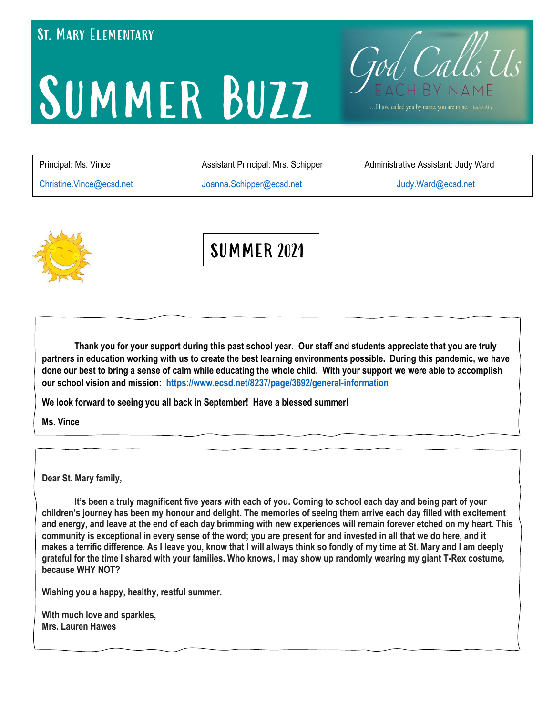### **ST. MARY ELEMENTARY**

# SUMMER BUZZ

[Christine.Vince@ecsd.net](mailto:Christine.Vince@ecsd.net) [Joanna.Schipper@ecsd.net](mailto:Joanna.Schipper@ecsd.net) [Judy.Ward@ecsd.net](mailto:Judy.Ward@ecsd.net)

Principal: Ms. Vince **Assistant Principal: Mrs. Schipper** Administrative Assistant: Judy Ward

. I have called you by name, you are mine. · Isaiah 43:

Fod Calls Us



SUMMER 2021

**Thank you for your support during this past school year. Our staff and students appreciate that you are truly partners in education working with us to create the best learning environments possible. During this pandemic, we have done our best to bring a sense of calm while educating the whole child. With your support we were able to accomplish our school vision and mission: <https://www.ecsd.net/8237/page/3692/general-information>**

We look forward to seeing you all back in September! H<br>Ms. Vince **We look forward to seeing you all back in September! Have a blessed summer!**

**Ms. Vince**

**Dear St. Mary family,**

It's been a truly magnificent five years with each of you. Coming to school each day and being part of your children's journey has been my honour and delight. The memories of seeing them arrive each day filled with excitement and energy, and leave at the end of each day brimming with new experiences will remain forever etched on my heart. This community is exceptional in every sense of the word; you are present for and invested in all that we do here, and it makes a terrific difference. As I leave you, know that I will always think so fondly of my time at St. Mary and I am deeply grateful for the time I shared with your families. Who knows, I may show up randomly wearing my giant T-Rex costume, **because WHY NOT?**

**Wishing you a happy, healthy, restful summer.**

**With much love and sparkles, Mrs. Lauren Hawes**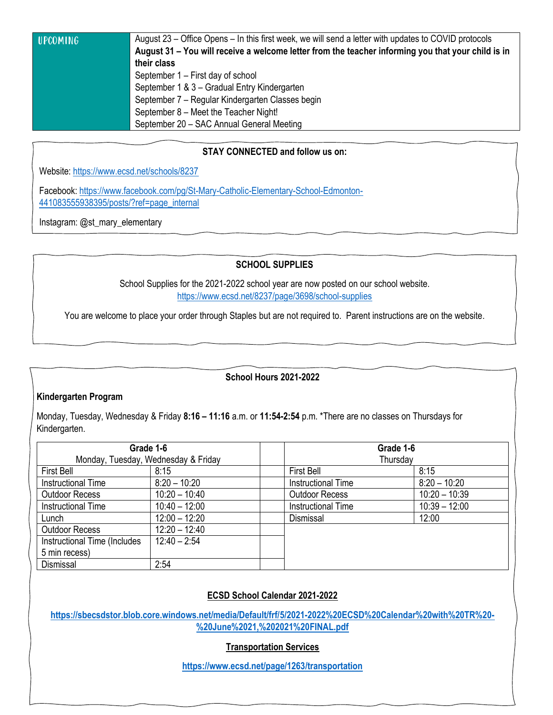|  | <b>UPCOMING</b> |  |
|--|-----------------|--|
|  |                 |  |

August 23 – Office Opens – In this first week, we will send a letter with updates to COVID protocols **August 31 – You will receive a welcome letter from the teacher informing you that your child is in their class**  September 1 – First day of school September 1 & 3 – Gradual Entry Kindergarten September 7 – Regular Kindergarten Classes begin September 8 – Meet the Teacher Night! September 20 – SAC Annual General Meeting

#### **STAY CONNECTED and follow us on:**

Website: <https://www.ecsd.net/schools/8237>

Facebook: [https://www.facebook.com/pg/St-Mary-Catholic-Elementary-School-Edmonton-](https://www.facebook.com/pg/St-Mary-Catholic-Elementary-School-Edmonton-441083555938395/posts/?ref=page_internal)[441083555938395/posts/?ref=page\\_internal](https://www.facebook.com/pg/St-Mary-Catholic-Elementary-School-Edmonton-441083555938395/posts/?ref=page_internal)

Instagram: @st\_mary\_elementary

#### **SCHOOL SUPPLIES**

School Supplies for the 2021-2022 school year are now posted on our school website. <https://www.ecsd.net/8237/page/3698/school-supplies>

You are welcome to place your order through Staples but are not required to. Parent instructions are on the website.

#### **School Hours 2021-2022**

#### **Kindergarten Program**

Monday, Tuesday, Wednesday & Friday **8:16 – 11:16** a.m. or **11:54-2:54** p.m. \*There are no classes on Thursdays for Kindergarten.

| Grade 1-6                           |                 | Grade 1-6                 |                 |  |
|-------------------------------------|-----------------|---------------------------|-----------------|--|
| Monday, Tuesday, Wednesday & Friday |                 | Thursday                  |                 |  |
| <b>First Bell</b>                   | 8:15            | <b>First Bell</b>         | 8:15            |  |
| <b>Instructional Time</b>           | $8:20 - 10:20$  | <b>Instructional Time</b> | $8:20 - 10:20$  |  |
| <b>Outdoor Recess</b>               | $10:20 - 10:40$ | <b>Outdoor Recess</b>     | $10:20 - 10:39$ |  |
| <b>Instructional Time</b>           | $10:40 - 12:00$ | <b>Instructional Time</b> | $10:39 - 12:00$ |  |
| Lunch                               | $12:00 - 12:20$ | Dismissal                 | 12:00           |  |
| <b>Outdoor Recess</b>               | $12:20 - 12:40$ |                           |                 |  |
| Instructional Time (Includes        | $12:40 - 2:54$  |                           |                 |  |
| 5 min recess)                       |                 |                           |                 |  |
| Dismissal                           | 2:54            |                           |                 |  |

#### **ECSD School Calendar 2021-2022**

**[https://sbecsdstor.blob.core.windows.net/media/Default/frf/5/2021-2022%20ECSD%20Calendar%20with%20TR%20-](https://sbecsdstor.blob.core.windows.net/media/Default/frf/5/2021-2022%20ECSD%20Calendar%20with%20TR%20-%20June%2021,%202021%20FINAL.pdf) [%20June%2021,%202021%20FINAL.pdf](https://sbecsdstor.blob.core.windows.net/media/Default/frf/5/2021-2022%20ECSD%20Calendar%20with%20TR%20-%20June%2021,%202021%20FINAL.pdf)**

#### **Transportation Services**

**<https://www.ecsd.net/page/1263/transportation>**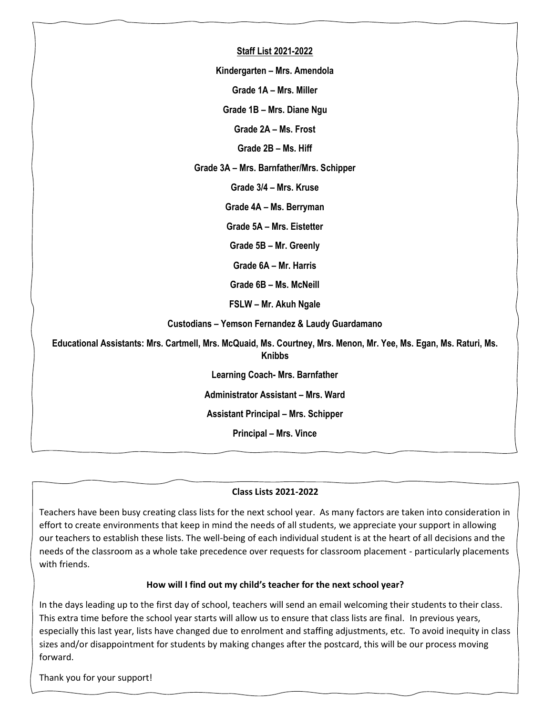| <b>Staff List 2021-2022</b>                                                                                                        |  |
|------------------------------------------------------------------------------------------------------------------------------------|--|
| Kindergarten - Mrs. Amendola                                                                                                       |  |
| Grade 1A - Mrs. Miller                                                                                                             |  |
| Grade 1B - Mrs. Diane Ngu                                                                                                          |  |
| Grade 2A - Ms. Frost                                                                                                               |  |
| Grade 2B - Ms. Hiff                                                                                                                |  |
| Grade 3A - Mrs. Barnfather/Mrs. Schipper                                                                                           |  |
| Grade 3/4 - Mrs. Kruse                                                                                                             |  |
| Grade 4A - Ms. Berryman                                                                                                            |  |
| Grade 5A - Mrs. Eistetter                                                                                                          |  |
| Grade 5B - Mr. Greenly                                                                                                             |  |
| Grade 6A - Mr. Harris                                                                                                              |  |
| Grade 6B - Ms. McNeill                                                                                                             |  |
| FSLW - Mr. Akuh Ngale                                                                                                              |  |
| Custodians - Yemson Fernandez & Laudy Guardamano                                                                                   |  |
| Educational Assistants: Mrs. Cartmell, Mrs. McQuaid, Ms. Courtney, Mrs. Menon, Mr. Yee, Ms. Egan, Ms. Raturi, Ms.<br><b>Knibbs</b> |  |
| <b>Learning Coach- Mrs. Barnfather</b>                                                                                             |  |
| Administrator Assistant - Mrs. Ward                                                                                                |  |
| <b>Assistant Principal - Mrs. Schipper</b>                                                                                         |  |
| <b>Principal - Mrs. Vince</b>                                                                                                      |  |
|                                                                                                                                    |  |

#### **Class Lists 2021-2022**

Teachers have been busy creating class lists for the next school year. As many factors are taken into consideration in effort to create environments that keep in mind the needs of all students, we appreciate your support in allowing our teachers to establish these lists. The well-being of each individual student is at the heart of all decisions and the needs of the classroom as a whole take precedence over requests for classroom placement - particularly placements with friends.

#### **How will I find out my child's teacher for the next school year?**

In the days leading up to the first day of school, teachers will send an email welcoming their students to their class. This extra time before the school year starts will allow us to ensure that class lists are final. In previous years, especially this last year, lists have changed due to enrolment and staffing adjustments, etc. To avoid inequity in class sizes and/or disappointment for students by making changes after the postcard, this will be our process moving forward.

Thank you for your support!